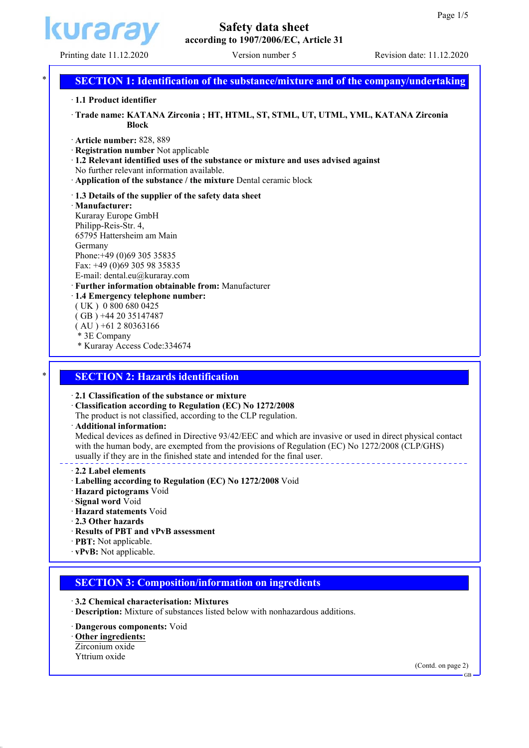

# **Safety data sheet according to 1907/2006/EC, Article 31**

# **SECTION 1: Identification of the substance/mixture and of the company/undertaking**

ꞏ **1.1 Product identifier**

ꞏ **Trade name: KATANA Zirconia ; HT, HTML, ST, STML, UT, UTML, YML, KATANA Zirconia Block**

- ꞏ **Article number:** 828, 889
- ꞏ **Registration number** Not applicable
- ꞏ **1.2 Relevant identified uses of the substance or mixture and uses advised against** No further relevant information available.
- ꞏ **Application of the substance / the mixture** Dental ceramic block
- ꞏ **1.3 Details of the supplier of the safety data sheet**

ꞏ **Manufacturer:** Kuraray Europe GmbH Philipp-Reis-Str. 4, 65795 Hattersheim am Main Germany Phone:+49 (0)69 305 35835 Fax: +49 (0)69 305 98 35835 E-mail: dental.eu@kuraray.com ꞏ **Further information obtainable from:** Manufacturer ꞏ **1.4 Emergency telephone number:** ( UK ) 0 800 680 0425 ( GB ) +44 20 35147487

- $(AU) +61280363166$
- \* 3E Company
- \* Kuraray Access Code:334674

### **SECTION 2: Hazards identification**

ꞏ **2.1 Classification of the substance or mixture**

- ꞏ **Classification according to Regulation (EC) No 1272/2008**
- The product is not classified, according to the CLP regulation.
- ꞏ **Additional information:**

Medical devices as defined in Directive 93/42/EEC and which are invasive or used in direct physical contact with the human body, are exempted from the provisions of Regulation (EC) No 1272/2008 (CLP/GHS) usually if they are in the finished state and intended for the final user.

- ꞏ **2.2 Label elements**
- ꞏ **Labelling according to Regulation (EC) No 1272/2008** Void
- ꞏ **Hazard pictograms** Void
- ꞏ **Signal word** Void
- ꞏ **Hazard statements** Void
- ꞏ **2.3 Other hazards**
- ꞏ **Results of PBT and vPvB assessment**
- ꞏ **PBT:** Not applicable.
- ꞏ **vPvB:** Not applicable.

### **SECTION 3: Composition/information on ingredients**

### ꞏ **3.2 Chemical characterisation: Mixtures**

ꞏ **Description:** Mixture of substances listed below with nonhazardous additions.

- ꞏ **Dangerous components:** Void
- ꞏ **Other ingredients:** Zirconium oxide
- Yttrium oxide

(Contd. on page 2)

GB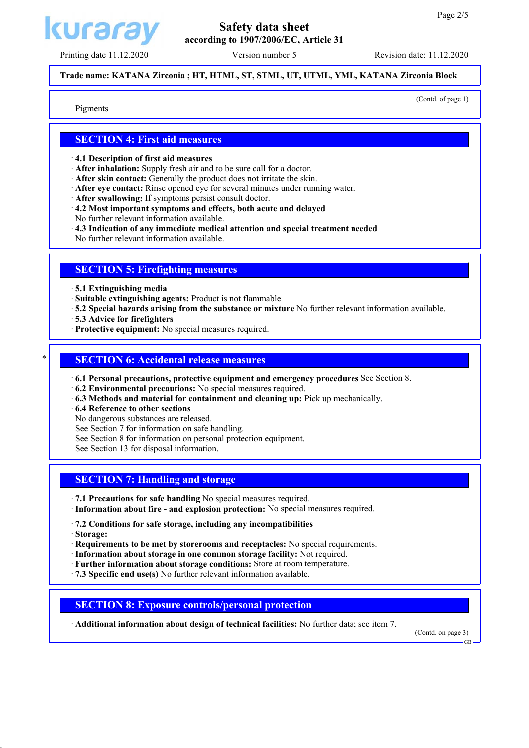

### **Trade name: KATANA Zirconia ; HT, HTML, ST, STML, UT, UTML, YML, KATANA Zirconia Block**

(Contd. of page 1)

Pigments

# **SECTION 4: First aid measures**

ꞏ **4.1 Description of first aid measures**

- ꞏ **After inhalation:** Supply fresh air and to be sure call for a doctor.
- ꞏ **After skin contact:** Generally the product does not irritate the skin.
- ꞏ **After eye contact:** Rinse opened eye for several minutes under running water.
- ꞏ **After swallowing:** If symptoms persist consult doctor.
- ꞏ **4.2 Most important symptoms and effects, both acute and delayed**
- No further relevant information available.
- ꞏ **4.3 Indication of any immediate medical attention and special treatment needed**
- No further relevant information available.

### **SECTION 5: Firefighting measures**

- ꞏ **5.1 Extinguishing media**
- ꞏ **Suitable extinguishing agents:** Product is not flammable
- ꞏ **5.2 Special hazards arising from the substance or mixture** No further relevant information available.
- ꞏ **5.3 Advice for firefighters**
- ꞏ **Protective equipment:** No special measures required.

### **SECTION 6: Accidental release measures**

- ꞏ **6.1 Personal precautions, protective equipment and emergency procedures** See Section 8.
- ꞏ **6.2 Environmental precautions:** No special measures required.
- ꞏ **6.3 Methods and material for containment and cleaning up:** Pick up mechanically.
- ꞏ **6.4 Reference to other sections**
- No dangerous substances are released.
- See Section 7 for information on safe handling.
- See Section 8 for information on personal protection equipment.
- See Section 13 for disposal information.

# **SECTION 7: Handling and storage**

- ꞏ **7.1 Precautions for safe handling** No special measures required.
- ꞏ **Information about fire and explosion protection:** No special measures required.
- ꞏ **7.2 Conditions for safe storage, including any incompatibilities**
- ꞏ **Storage:**
- ꞏ **Requirements to be met by storerooms and receptacles:** No special requirements.
- ꞏ **Information about storage in one common storage facility:** Not required.
- ꞏ **Further information about storage conditions:** Store at room temperature.
- ꞏ **7.3 Specific end use(s)** No further relevant information available.

# **SECTION 8: Exposure controls/personal protection**

ꞏ **Additional information about design of technical facilities:** No further data; see item 7.

(Contd. on page 3)

GB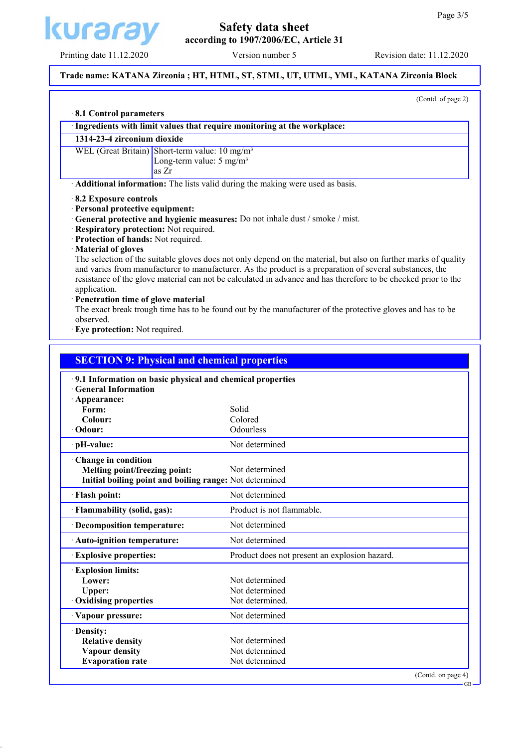

# **Safety data sheet according to 1907/2006/EC, Article 31**

# **Trade name: KATANA Zirconia ; HT, HTML, ST, STML, UT, UTML, YML, KATANA Zirconia Block**

(Contd. of page 2)

| 1314-23-4 zirconium dioxide<br>WEL (Great Britain) Short-term value: 10 mg/m <sup>3</sup><br>Long-term value: $5 \text{ mg/m}^3$<br>as Zr<br>8.2 Exposure controls<br>· Personal protective equipment:<br>· General protective and hygienic measures: Do not inhale dust / smoke / mist.<br>· Respiratory protection: Not required. | · Ingredients with limit values that require monitoring at the workplace:<br>Additional information: The lists valid during the making were used as basis. |
|-------------------------------------------------------------------------------------------------------------------------------------------------------------------------------------------------------------------------------------------------------------------------------------------------------------------------------------|------------------------------------------------------------------------------------------------------------------------------------------------------------|
|                                                                                                                                                                                                                                                                                                                                     |                                                                                                                                                            |
|                                                                                                                                                                                                                                                                                                                                     |                                                                                                                                                            |
|                                                                                                                                                                                                                                                                                                                                     |                                                                                                                                                            |
|                                                                                                                                                                                                                                                                                                                                     |                                                                                                                                                            |
|                                                                                                                                                                                                                                                                                                                                     |                                                                                                                                                            |
|                                                                                                                                                                                                                                                                                                                                     |                                                                                                                                                            |
|                                                                                                                                                                                                                                                                                                                                     |                                                                                                                                                            |
|                                                                                                                                                                                                                                                                                                                                     |                                                                                                                                                            |
|                                                                                                                                                                                                                                                                                                                                     |                                                                                                                                                            |
| · Protection of hands: Not required.                                                                                                                                                                                                                                                                                                |                                                                                                                                                            |
| · Material of gloves                                                                                                                                                                                                                                                                                                                | The selection of the suitable gloves does not only depend on the material, but also on further marks of quality                                            |
|                                                                                                                                                                                                                                                                                                                                     | and varies from manufacturer to manufacturer. As the product is a preparation of several substances, the                                                   |
|                                                                                                                                                                                                                                                                                                                                     | resistance of the glove material can not be calculated in advance and has therefore to be checked prior to the                                             |
| application.                                                                                                                                                                                                                                                                                                                        |                                                                                                                                                            |
| · Penetration time of glove material                                                                                                                                                                                                                                                                                                |                                                                                                                                                            |
|                                                                                                                                                                                                                                                                                                                                     | The exact break trough time has to be found out by the manufacturer of the protective gloves and has to be                                                 |
| observed.<br>· Eye protection: Not required.                                                                                                                                                                                                                                                                                        |                                                                                                                                                            |
|                                                                                                                                                                                                                                                                                                                                     |                                                                                                                                                            |
|                                                                                                                                                                                                                                                                                                                                     |                                                                                                                                                            |
| <b>SECTION 9: Physical and chemical properties</b>                                                                                                                                                                                                                                                                                  |                                                                                                                                                            |
| Form:<br>Colour:<br>$\cdot$ Odour:                                                                                                                                                                                                                                                                                                  | Solid<br>Colored<br>Odourless                                                                                                                              |
| · pH-value:                                                                                                                                                                                                                                                                                                                         | Not determined                                                                                                                                             |
| Change in condition                                                                                                                                                                                                                                                                                                                 |                                                                                                                                                            |
| Melting point/freezing point:                                                                                                                                                                                                                                                                                                       | Not determined                                                                                                                                             |
| Initial boiling point and boiling range: Not determined                                                                                                                                                                                                                                                                             |                                                                                                                                                            |
| · Flash point:                                                                                                                                                                                                                                                                                                                      | Not determined                                                                                                                                             |
| · Flammability (solid, gas):                                                                                                                                                                                                                                                                                                        | Product is not flammable.                                                                                                                                  |
| · Decomposition temperature:                                                                                                                                                                                                                                                                                                        | Not determined                                                                                                                                             |
| · Auto-ignition temperature:                                                                                                                                                                                                                                                                                                        | Not determined                                                                                                                                             |
| <b>Explosive properties:</b>                                                                                                                                                                                                                                                                                                        | Product does not present an explosion hazard.                                                                                                              |
|                                                                                                                                                                                                                                                                                                                                     |                                                                                                                                                            |
| <b>Explosion limits:</b>                                                                                                                                                                                                                                                                                                            |                                                                                                                                                            |
| Lower:                                                                                                                                                                                                                                                                                                                              | Not determined                                                                                                                                             |
| Upper:                                                                                                                                                                                                                                                                                                                              | Not determined                                                                                                                                             |
| Oxidising properties                                                                                                                                                                                                                                                                                                                | Not determined.                                                                                                                                            |
| · Vapour pressure:                                                                                                                                                                                                                                                                                                                  | Not determined                                                                                                                                             |
| · Density:                                                                                                                                                                                                                                                                                                                          |                                                                                                                                                            |
| <b>Relative density</b>                                                                                                                                                                                                                                                                                                             | Not determined                                                                                                                                             |
| <b>Vapour density</b><br><b>Evaporation rate</b>                                                                                                                                                                                                                                                                                    | Not determined<br>Not determined                                                                                                                           |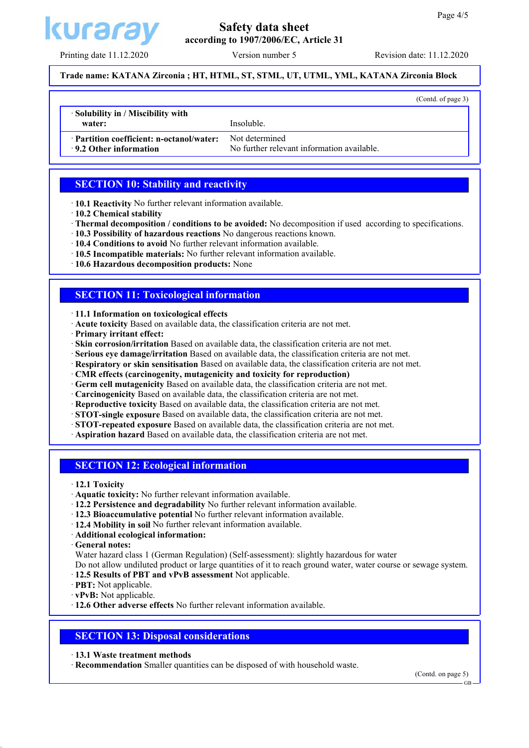(Contd. of page 3)



### **Trade name: KATANA Zirconia ; HT, HTML, ST, STML, UT, UTML, YML, KATANA Zirconia Block**

**water:** Insoluble.

ꞏ **Partition coefficient: n-octanol/water:** Not determined

**9.2 Other information** No further relevant information available.

# **SECTION 10: Stability and reactivity**

ꞏ **10.1 Reactivity** No further relevant information available.

- ꞏ **10.2 Chemical stability**
- ꞏ **Thermal decomposition / conditions to be avoided:** No decomposition if used according to specifications.
- ꞏ **10.3 Possibility of hazardous reactions** No dangerous reactions known.
- ꞏ **10.4 Conditions to avoid** No further relevant information available.
- ꞏ **10.5 Incompatible materials:** No further relevant information available.
- ꞏ **10.6 Hazardous decomposition products:** None

### **SECTION 11: Toxicological information**

- ꞏ **11.1 Information on toxicological effects**
- ꞏ **Acute toxicity** Based on available data, the classification criteria are not met.
- ꞏ **Primary irritant effect:**
- ꞏ **Skin corrosion/irritation** Based on available data, the classification criteria are not met.
- ꞏ **Serious eye damage/irritation** Based on available data, the classification criteria are not met.
- ꞏ **Respiratory or skin sensitisation** Based on available data, the classification criteria are not met.
- ꞏ **CMR effects (carcinogenity, mutagenicity and toxicity for reproduction)**
- ꞏ **Germ cell mutagenicity** Based on available data, the classification criteria are not met.
- ꞏ **Carcinogenicity** Based on available data, the classification criteria are not met.
- ꞏ **Reproductive toxicity** Based on available data, the classification criteria are not met.
- ꞏ **STOT-single exposure** Based on available data, the classification criteria are not met.
- ꞏ **STOT-repeated exposure** Based on available data, the classification criteria are not met.
- ꞏ **Aspiration hazard** Based on available data, the classification criteria are not met.

# **SECTION 12: Ecological information**

- ꞏ **12.1 Toxicity**
- ꞏ **Aquatic toxicity:** No further relevant information available.
- ꞏ **12.2 Persistence and degradability** No further relevant information available.
- ꞏ **12.3 Bioaccumulative potential** No further relevant information available.
- ꞏ **12.4 Mobility in soil** No further relevant information available.
- ꞏ **Additional ecological information:**

ꞏ **General notes:**

Water hazard class 1 (German Regulation) (Self-assessment): slightly hazardous for water

Do not allow undiluted product or large quantities of it to reach ground water, water course or sewage system.

- ꞏ **12.5 Results of PBT and vPvB assessment** Not applicable.
- ꞏ **PBT:** Not applicable.
- ꞏ **vPvB:** Not applicable.

ꞏ **12.6 Other adverse effects** No further relevant information available.

### **SECTION 13: Disposal considerations**

ꞏ **13.1 Waste treatment methods**

ꞏ **Recommendation** Smaller quantities can be disposed of with household waste.

(Contd. on page 5)

GB